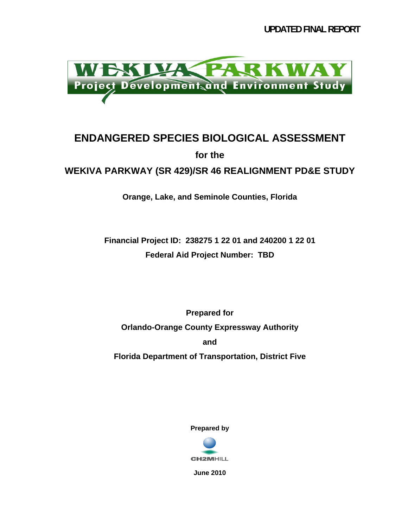**UPDATED FINAL REPORT** 



### **ENDANGERED SPECIES BIOLOGICAL ASSESSMENT for the WEKIVA PARKWAY (SR 429)/SR 46 REALIGNMENT PD&E STUDY**

**Orange, Lake, and Seminole Counties, Florida** 

**Financial Project ID: 238275 1 22 01 and 240200 1 22 01 Federal Aid Project Number: TBD** 

**Prepared for Orlando-Orange County Expressway Authority and Florida Department of Transportation, District Five** 

**Prepared by** 



**June 2010**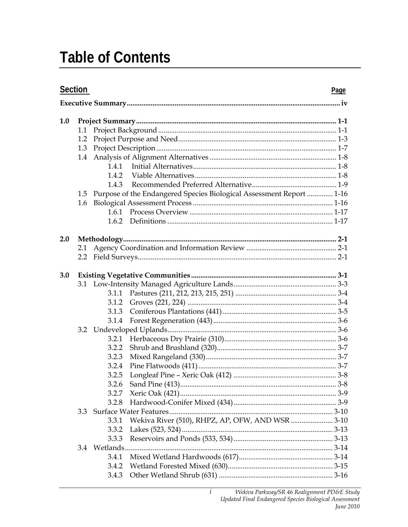### **Table of Contents**

| Section |     |       | Page                                                                     |  |  |
|---------|-----|-------|--------------------------------------------------------------------------|--|--|
|         |     |       |                                                                          |  |  |
| 1.0     |     |       |                                                                          |  |  |
|         | 1.1 |       |                                                                          |  |  |
|         | 1.2 |       |                                                                          |  |  |
|         | 1.3 |       |                                                                          |  |  |
|         |     |       |                                                                          |  |  |
|         |     | 1.4.1 |                                                                          |  |  |
|         |     | 1.4.2 |                                                                          |  |  |
|         |     | 1.4.3 |                                                                          |  |  |
|         |     |       | 1.5 Purpose of the Endangered Species Biological Assessment Report  1-16 |  |  |
|         | 1.6 |       |                                                                          |  |  |
|         |     |       |                                                                          |  |  |
|         |     |       |                                                                          |  |  |
| 2.0     |     |       |                                                                          |  |  |
|         | 2.1 |       |                                                                          |  |  |
|         |     |       |                                                                          |  |  |
| 3.0     |     |       |                                                                          |  |  |
|         |     |       |                                                                          |  |  |
|         |     | 3.1.1 |                                                                          |  |  |
|         |     | 3.1.2 |                                                                          |  |  |
|         |     | 3.1.3 |                                                                          |  |  |
|         |     | 3.1.4 |                                                                          |  |  |
|         |     |       |                                                                          |  |  |
|         |     | 3.2.1 |                                                                          |  |  |
|         |     | 3.2.2 |                                                                          |  |  |
|         |     | 3.2.3 |                                                                          |  |  |
|         |     | 3.2.4 |                                                                          |  |  |
|         |     | 3.2.5 |                                                                          |  |  |
|         |     |       |                                                                          |  |  |
|         |     | 3.2.7 |                                                                          |  |  |
|         |     | 3.2.8 |                                                                          |  |  |
|         | 3.3 |       |                                                                          |  |  |
|         |     | 3.3.1 | Wekiva River (510), RHPZ, AP, OFW, AND WSR  3-10                         |  |  |
|         |     | 3.3.2 |                                                                          |  |  |
|         |     | 3.3.3 |                                                                          |  |  |
|         |     |       |                                                                          |  |  |
|         |     | 3.4.1 |                                                                          |  |  |
|         |     | 3.4.2 |                                                                          |  |  |
|         |     | 3.4.3 |                                                                          |  |  |

 $\overline{i}$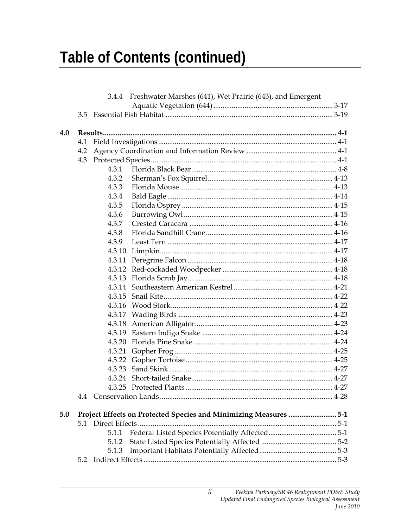# **Table of Contents (continued)**

|     |                                                                  | 3.4.4 | Freshwater Marshes (641), Wet Prairie (643), and Emergent |  |
|-----|------------------------------------------------------------------|-------|-----------------------------------------------------------|--|
|     |                                                                  |       |                                                           |  |
|     |                                                                  |       |                                                           |  |
|     |                                                                  |       |                                                           |  |
| 4.0 |                                                                  |       |                                                           |  |
|     | 4.1                                                              |       |                                                           |  |
|     | 4.2                                                              |       |                                                           |  |
|     | 4.3                                                              |       |                                                           |  |
|     |                                                                  | 4.3.1 |                                                           |  |
|     |                                                                  | 4.3.2 |                                                           |  |
|     |                                                                  | 4.3.3 |                                                           |  |
|     |                                                                  | 4.3.4 |                                                           |  |
|     |                                                                  | 4.3.5 |                                                           |  |
|     |                                                                  | 4.3.6 |                                                           |  |
|     |                                                                  | 4.3.7 |                                                           |  |
|     |                                                                  | 4.3.8 |                                                           |  |
|     |                                                                  | 4.3.9 |                                                           |  |
|     |                                                                  |       |                                                           |  |
|     |                                                                  |       |                                                           |  |
|     |                                                                  |       |                                                           |  |
|     |                                                                  |       |                                                           |  |
|     |                                                                  |       |                                                           |  |
|     |                                                                  |       |                                                           |  |
|     |                                                                  |       |                                                           |  |
|     |                                                                  |       |                                                           |  |
|     |                                                                  |       |                                                           |  |
|     |                                                                  |       |                                                           |  |
|     |                                                                  |       |                                                           |  |
|     |                                                                  |       |                                                           |  |
|     |                                                                  |       |                                                           |  |
|     |                                                                  |       |                                                           |  |
|     |                                                                  |       |                                                           |  |
|     |                                                                  |       |                                                           |  |
|     |                                                                  |       |                                                           |  |
| 5.0 | Project Effects on Protected Species and Minimizing Measures 5-1 |       |                                                           |  |
|     |                                                                  |       |                                                           |  |
|     |                                                                  | 5.1.1 |                                                           |  |
|     |                                                                  | 5.1.2 |                                                           |  |
|     |                                                                  | 5.1.3 |                                                           |  |
|     | 5.2                                                              |       |                                                           |  |
|     |                                                                  |       |                                                           |  |